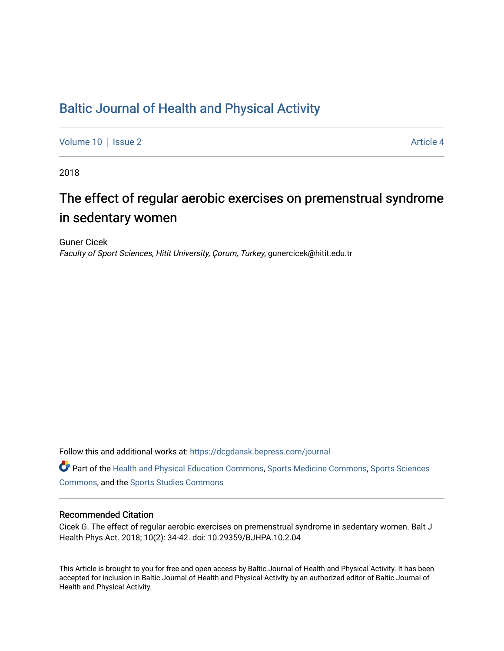## [Baltic Journal of Health and Physical Activity](https://dcgdansk.bepress.com/journal)

[Volume 10](https://dcgdansk.bepress.com/journal/vol10) | [Issue 2](https://dcgdansk.bepress.com/journal/vol10/iss2) Article 4

2018

## The effect of regular aerobic exercises on premenstrual syndrome in sedentary women

Guner Cicek Faculty of Sport Sciences, Hitit University, Çorum, Turkey, gunercicek@hitit.edu.tr

Follow this and additional works at: [https://dcgdansk.bepress.com/journal](https://dcgdansk.bepress.com/journal?utm_source=dcgdansk.bepress.com%2Fjournal%2Fvol10%2Fiss2%2F4&utm_medium=PDF&utm_campaign=PDFCoverPages)

Part of the [Health and Physical Education Commons](http://network.bepress.com/hgg/discipline/1327?utm_source=dcgdansk.bepress.com%2Fjournal%2Fvol10%2Fiss2%2F4&utm_medium=PDF&utm_campaign=PDFCoverPages), [Sports Medicine Commons,](http://network.bepress.com/hgg/discipline/1331?utm_source=dcgdansk.bepress.com%2Fjournal%2Fvol10%2Fiss2%2F4&utm_medium=PDF&utm_campaign=PDFCoverPages) [Sports Sciences](http://network.bepress.com/hgg/discipline/759?utm_source=dcgdansk.bepress.com%2Fjournal%2Fvol10%2Fiss2%2F4&utm_medium=PDF&utm_campaign=PDFCoverPages) [Commons](http://network.bepress.com/hgg/discipline/759?utm_source=dcgdansk.bepress.com%2Fjournal%2Fvol10%2Fiss2%2F4&utm_medium=PDF&utm_campaign=PDFCoverPages), and the [Sports Studies Commons](http://network.bepress.com/hgg/discipline/1198?utm_source=dcgdansk.bepress.com%2Fjournal%2Fvol10%2Fiss2%2F4&utm_medium=PDF&utm_campaign=PDFCoverPages) 

#### Recommended Citation

Cicek G. The effect of regular aerobic exercises on premenstrual syndrome in sedentary women. Balt J Health Phys Act. 2018; 10(2): 34-42. doi: 10.29359/BJHPA.10.2.04

This Article is brought to you for free and open access by Baltic Journal of Health and Physical Activity. It has been accepted for inclusion in Baltic Journal of Health and Physical Activity by an authorized editor of Baltic Journal of Health and Physical Activity.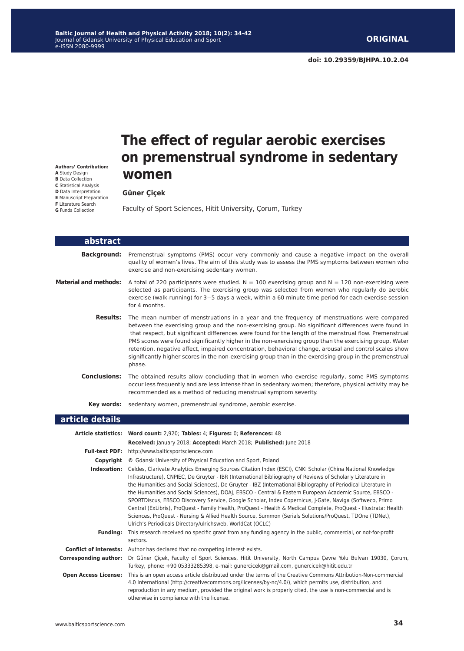**Authors' Contribution: A** Study Design **B** Data Collection **C** Statistical Analysis **D** Data Interpretation **E** Manuscript Preparation **F** Literature Search **G** Funds Collection

# **The effect of regular aerobic exercises on premenstrual syndrome in sedentary women**

#### **Güner Çiçek**

Faculty of Sport Sciences, Hitit University, Çorum, Turkey

| abstract                     |                                                                                                                                                                                                                                                                                                                                                                                                                                                                                                                                                                                                                                                                                                                                                                                                                                                                           |
|------------------------------|---------------------------------------------------------------------------------------------------------------------------------------------------------------------------------------------------------------------------------------------------------------------------------------------------------------------------------------------------------------------------------------------------------------------------------------------------------------------------------------------------------------------------------------------------------------------------------------------------------------------------------------------------------------------------------------------------------------------------------------------------------------------------------------------------------------------------------------------------------------------------|
| <b>Background:</b>           | Premenstrual symptoms (PMS) occur very commonly and cause a negative impact on the overall<br>quality of women's lives. The aim of this study was to assess the PMS symptoms between women who<br>exercise and non-exercising sedentary women.                                                                                                                                                                                                                                                                                                                                                                                                                                                                                                                                                                                                                            |
| <b>Material and methods:</b> | A total of 220 participants were studied. $N = 100$ exercising group and $N = 120$ non-exercising were<br>selected as participants. The exercising group was selected from women who regularly do aerobic<br>exercise (walk-running) for 3-5 days a week, within a 60 minute time period for each exercise session<br>for 4 months.                                                                                                                                                                                                                                                                                                                                                                                                                                                                                                                                       |
|                              | <b>Results:</b> The mean number of menstruations in a year and the frequency of menstruations were compared<br>between the exercising group and the non-exercising group. No significant differences were found in<br>that respect, but significant differences were found for the length of the menstrual flow. Premenstrual<br>PMS scores were found significantly higher in the non-exercising group than the exercising group. Water<br>retention, negative affect, impaired concentration, behavioral change, arousal and control scales show<br>significantly higher scores in the non-exercising group than in the exercising group in the premenstrual<br>phase.                                                                                                                                                                                                  |
|                              | Conclusions: The obtained results allow concluding that in women who exercise regularly, some PMS symptoms<br>occur less frequently and are less intense than in sedentary women; therefore, physical activity may be<br>recommended as a method of reducing menstrual symptom severity.                                                                                                                                                                                                                                                                                                                                                                                                                                                                                                                                                                                  |
|                              | <b>Key words:</b> sedentary women, premenstrual syndrome, aerobic exercise.                                                                                                                                                                                                                                                                                                                                                                                                                                                                                                                                                                                                                                                                                                                                                                                               |
| article details              |                                                                                                                                                                                                                                                                                                                                                                                                                                                                                                                                                                                                                                                                                                                                                                                                                                                                           |
|                              | Article statistics: Word count: 2,920; Tables: 4; Figures: 0; References: 48                                                                                                                                                                                                                                                                                                                                                                                                                                                                                                                                                                                                                                                                                                                                                                                              |
|                              | Received: January 2018; Accepted: March 2018; Published: June 2018                                                                                                                                                                                                                                                                                                                                                                                                                                                                                                                                                                                                                                                                                                                                                                                                        |
|                              | Full-text PDF: http://www.balticsportscience.com                                                                                                                                                                                                                                                                                                                                                                                                                                                                                                                                                                                                                                                                                                                                                                                                                          |
|                              | <b>Copyright</b> © Gdansk University of Physical Education and Sport, Poland                                                                                                                                                                                                                                                                                                                                                                                                                                                                                                                                                                                                                                                                                                                                                                                              |
|                              | Indexation: Celdes, Clarivate Analytics Emerging Sources Citation Index (ESCI), CNKI Scholar (China National Knowledge<br>Infrastructure), CNPIEC, De Gruyter - IBR (International Bibliography of Reviews of Scholarly Literature in<br>the Humanities and Social Sciences), De Gruyter - IBZ (International Bibliography of Periodical Literature in<br>the Humanities and Social Sciences), DOAJ, EBSCO - Central & Eastern European Academic Source, EBSCO -<br>SPORTDiscus, EBSCO Discovery Service, Google Scholar, Index Copernicus, J-Gate, Naviga (Softweco, Primo<br>Central (ExLibris), ProQuest - Family Health, ProQuest - Health & Medical Complete, ProQuest - Illustrata: Health<br>Sciences, ProQuest - Nursing & Allied Health Source, Summon (Serials Solutions/ProQuest, TDOne (TDNet),<br>Ulrich's Periodicals Directory/ulrichsweb, WorldCat (OCLC) |
|                              | Funding: This research received no specific grant from any funding agency in the public, commercial, or not-for-profit<br>sectors.                                                                                                                                                                                                                                                                                                                                                                                                                                                                                                                                                                                                                                                                                                                                        |
|                              | <b>Conflict of interests:</b> Author has declared that no competing interest exists.                                                                                                                                                                                                                                                                                                                                                                                                                                                                                                                                                                                                                                                                                                                                                                                      |
|                              | Corresponding author: Dr Güner Cicek, Faculty of Sport Sciences, Hitit University, North Campus Cevre Yolu Bulvarı 19030, Corum,<br>Turkey, phone: +90 05333285398, e-mail: gunercicek@gmail.com, gunercicek@hitit.edu.tr                                                                                                                                                                                                                                                                                                                                                                                                                                                                                                                                                                                                                                                 |
|                              | Open Access License: This is an open access article distributed under the terms of the Creative Commons Attribution-Non-commercial<br>4.0 International (http://creativecommons.org/licenses/by-nc/4.0/), which permits use, distribution, and<br>reproduction in any medium, provided the original work is properly cited, the use is non-commercial and is<br>otherwise in compliance with the license.                                                                                                                                                                                                                                                                                                                                                                                                                                                                 |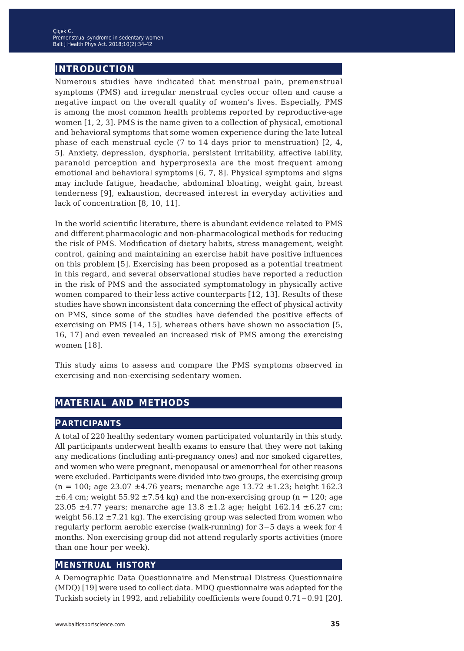## **introduction**

Numerous studies have indicated that menstrual pain, premenstrual symptoms (PMS) and irregular menstrual cycles occur often and cause a negative impact on the overall quality of women's lives. Especially, PMS is among the most common health problems reported by reproductive-age women [1, 2, 3]. PMS is the name given to a collection of physical, emotional and behavioral symptoms that some women experience during the late luteal phase of each menstrual cycle (7 to 14 days prior to menstruation) [2, 4, 5]. Anxiety, depression, dysphoria, persistent irritability, affective lability, paranoid perception and hyperprosexia are the most frequent among emotional and behavioral symptoms [6, 7, 8]. Physical symptoms and signs may include fatigue, headache, abdominal bloating, weight gain, breast tenderness [9], exhaustion, decreased interest in everyday activities and lack of concentration [8, 10, 11].

In the world scientific literature, there is abundant evidence related to PMS and different pharmacologic and non-pharmacological methods for reducing the risk of PMS. Modification of dietary habits, stress management, weight control, gaining and maintaining an exercise habit have positive influences on this problem [5]. Exercising has been proposed as a potential treatment in this regard, and several observational studies have reported a reduction in the risk of PMS and the associated symptomatology in physically active women compared to their less active counterparts [12, 13]. Results of these studies have shown inconsistent data concerning the effect of physical activity on PMS, since some of the studies have defended the positive effects of exercising on PMS [14, 15], whereas others have shown no association [5, 16, 17] and even revealed an increased risk of PMS among the exercising women [18].

This study aims to assess and compare the PMS symptoms observed in exercising and non-exercising sedentary women.

## **material and methods**

#### **participants**

A total of 220 healthy sedentary women participated voluntarily in this study. All participants underwent health exams to ensure that they were not taking any medications (including anti-pregnancy ones) and nor smoked cigarettes, and women who were pregnant, menopausal or amenorrheal for other reasons were excluded. Participants were divided into two groups, the exercising group  $(n = 100; \text{ age } 23.07 \pm 4.76 \text{ years}; \text{ menarche age } 13.72 \pm 1.23; \text{ height } 162.3$  $\pm 6.4$  cm; weight 55.92  $\pm 7.54$  kg) and the non-exercising group (n = 120; age 23.05  $\pm$ 4.77 years; menarche age 13.8  $\pm$ 1.2 age; height 162.14  $\pm$ 6.27 cm; weight  $56.12 \pm 7.21$  kg). The exercising group was selected from women who regularly perform aerobic exercise (walk-running) for 3−5 days a week for 4 months. Non exercising group did not attend regularly sports activities (more than one hour per week).

#### **menstrual history**

A Demographic Data Questionnaire and Menstrual Distress Questionnaire (MDQ) [19] were used to collect data. MDQ questionnaire was adapted for the Turkish society in 1992, and reliability coefficients were found 0.71−0.91 [20].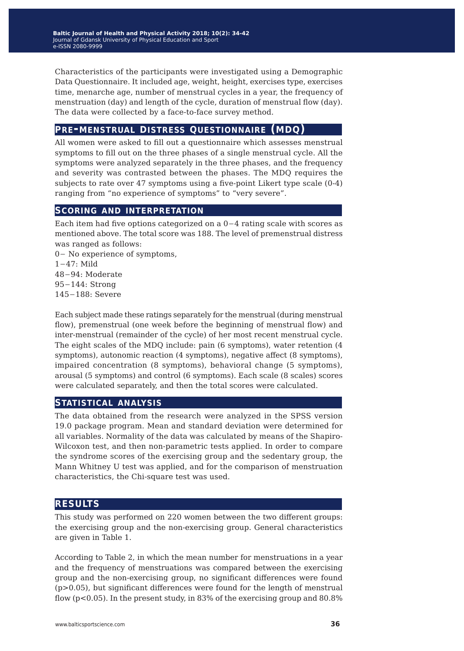Characteristics of the participants were investigated using a Demographic Data Questionnaire. It included age, weight, height, exercises type, exercises time, menarche age, number of menstrual cycles in a year, the frequency of menstruation (day) and length of the cycle, duration of menstrual flow (day). The data were collected by a face-to-face survey method.

### **pre-menstrual distress questionnaire (mdq)**

All women were asked to fill out a questionnaire which assesses menstrual symptoms to fill out on the three phases of a single menstrual cycle. All the symptoms were analyzed separately in the three phases, and the frequency and severity was contrasted between the phases. The MDQ requires the subjects to rate over 47 symptoms using a five-point Likert type scale (0-4) ranging from "no experience of symptoms" to "very severe".

#### **scoring and interpretation**

Each item had five options categorized on a 0−4 rating scale with scores as mentioned above. The total score was 188. The level of premenstrual distress was ranged as follows:

− No experience of symptoms, 1−47: Mild −94: Moderate −144: Strong −188: Severe

Each subject made these ratings separately for the menstrual (during menstrual flow), premenstrual (one week before the beginning of menstrual flow) and inter-menstrual (remainder of the cycle) of her most recent menstrual cycle. The eight scales of the MDQ include: pain (6 symptoms), water retention (4 symptoms), autonomic reaction (4 symptoms), negative affect (8 symptoms), impaired concentration (8 symptoms), behavioral change (5 symptoms), arousal (5 symptoms) and control (6 symptoms). Each scale (8 scales) scores were calculated separately, and then the total scores were calculated.

### **statistical analysis**

The data obtained from the research were analyzed in the SPSS version 19.0 package program. Mean and standard deviation were determined for all variables. Normality of the data was calculated by means of the Shapiro-Wilcoxon test, and then non-parametric tests applied. In order to compare the syndrome scores of the exercising group and the sedentary group, the Mann Whitney U test was applied, and for the comparison of menstruation characteristics, the Chi-square test was used.

### **results**

This study was performed on 220 women between the two different groups: the exercising group and the non-exercising group. General characteristics are given in Table 1.

According to Table 2, in which the mean number for menstruations in a year and the frequency of menstruations was compared between the exercising group and the non-exercising group, no significant differences were found  $(p>0.05)$ , but significant differences were found for the length of menstrual flow (p<0.05). In the present study, in 83% of the exercising group and 80.8%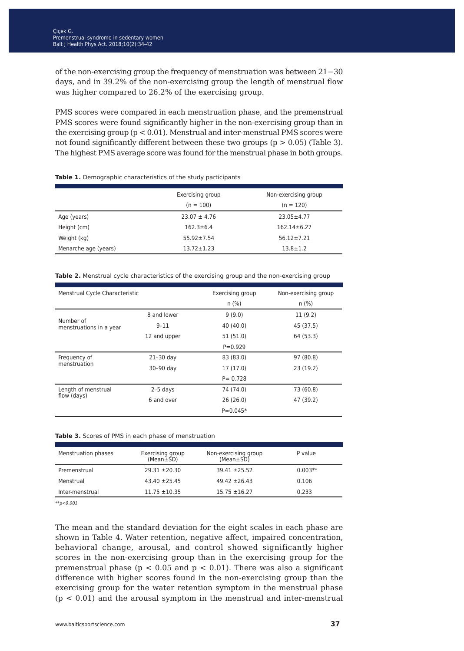of the non-exercising group the frequency of menstruation was between 21−30 days, and in 39.2% of the non-exercising group the length of menstrual flow was higher compared to 26.2% of the exercising group.

PMS scores were compared in each menstruation phase, and the premenstrual PMS scores were found significantly higher in the non-exercising group than in the exercising group (p < 0.01). Menstrual and inter-menstrual PMS scores were not found significantly different between these two groups  $(p > 0.05)$  (Table 3). The highest PMS average score was found for the menstrual phase in both groups.

**Table 1.** Demographic characteristics of the study participants

|                      | Exercising group | Non-exercising group |
|----------------------|------------------|----------------------|
|                      | $(n = 100)$      | $(n = 120)$          |
| Age (years)          | $23.07 \pm 4.76$ | $23.05 \pm 4.77$     |
| Height (cm)          | $162.3 \pm 6.4$  | $162.14 \pm 6.27$    |
| Weight (kg)          | $55.92 \pm 7.54$ | $56.12 \pm 7.21$     |
| Menarche age (years) | $13.72 \pm 1.23$ | $13.8 \pm 1.2$       |
|                      |                  |                      |

|  |  |  | <b>Table 2.</b> Menstrual cycle characteristics of the exercising group and the non-exercising group |  |  |  |  |  |  |  |  |
|--|--|--|------------------------------------------------------------------------------------------------------|--|--|--|--|--|--|--|--|
|--|--|--|------------------------------------------------------------------------------------------------------|--|--|--|--|--|--|--|--|

| Menstrual Cycle Characteristic       |              | Exercising group | Non-exercising group |
|--------------------------------------|--------------|------------------|----------------------|
|                                      |              | n (%)            | $n$ (%)              |
|                                      | 8 and lower  | 9(9.0)           | 11(9.2)              |
| Number of<br>menstruations in a year | $9 - 11$     | 40 (40.0)        | 45 (37.5)            |
|                                      | 12 and upper | 51(51.0)         | 64 (53.3)            |
|                                      |              | $P = 0.929$      |                      |
| Frequency of                         | $21-30$ day  | 83 (83.0)        | 97 (80.8)            |
| menstruation                         | 30-90 day    | 17(17.0)         | 23(19.2)             |
|                                      |              | $P = 0.728$      |                      |
| Length of menstrual                  | $2-5$ days   | 74 (74.0)        | 73 (60.8)            |
| flow (days)                          | 6 and over   | 26(26.0)         | 47 (39.2)            |
|                                      |              | $P = 0.045*$     |                      |

#### **Table 3.** Scores of PMS in each phase of menstruation

| Menstruation phases | Exercising group<br>$(Mean \pm SD)$ | Non-exercising group<br>$(Mean \pm SD)$ | P value   |
|---------------------|-------------------------------------|-----------------------------------------|-----------|
| Premenstrual        | $29.31 + 20.30$                     | $39.41 \pm 25.52$                       | $0.003**$ |
| Menstrual           | $43.40 \pm 25.45$                   | $49.42 \pm 26.43$                       | 0.106     |
| Inter-menstrual     | $11.75 \pm 10.35$                   | $15.75 \pm 16.27$                       | 0.233     |

*\*\*p<0.001*

The mean and the standard deviation for the eight scales in each phase are shown in Table 4. Water retention, negative affect, impaired concentration, behavioral change, arousal, and control showed significantly higher scores in the non-exercising group than in the exercising group for the premenstrual phase ( $p < 0.05$  and  $p < 0.01$ ). There was also a significant difference with higher scores found in the non-exercising group than the exercising group for the water retention symptom in the menstrual phase  $(p < 0.01)$  and the arousal symptom in the menstrual and inter-menstrual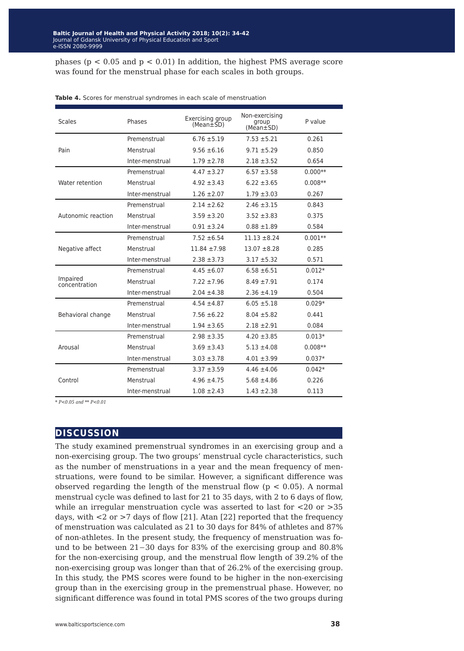phases ( $p < 0.05$  and  $p < 0.01$ ) In addition, the highest PMS average score was found for the menstrual phase for each scales in both groups.

| <b>Scales</b>             | Phases          | Exercising group<br>$(Mean \pm SD)$ | Non-exercising<br>group<br>$(Mean \pm SD)$ | P value   |
|---------------------------|-----------------|-------------------------------------|--------------------------------------------|-----------|
|                           | Premenstrual    | $6.76 \pm 5.19$                     | $7.53 + 5.21$                              | 0.261     |
| Pain                      | Menstrual       | $9.56 \pm 6.16$                     | $9.71 + 5.29$                              | 0.850     |
|                           | Inter-menstrual | $1.79 \pm 2.78$                     | $2.18 \pm 3.52$                            | 0.654     |
|                           | Premenstrual    | $4.47 \pm 3.27$                     | $6.57 + 3.58$                              | $0.000**$ |
| Water retention           | Menstrual       | $4.92 \pm 3.43$                     | $6.22 \pm 3.65$                            | $0.008**$ |
|                           | Inter-menstrual | $1.26 \pm 2.07$                     | $1.79 \pm 3.03$                            | 0.267     |
|                           | Premenstrual    | $2.14 \pm 2.62$                     | $2.46 \pm 3.15$                            | 0.843     |
| Autonomic reaction        | Menstrual       | $3.59 \pm 3.20$                     | $3.52 + 3.83$                              | 0.375     |
|                           | Inter-menstrual | $0.91 + 3.24$                       | $0.88 \pm 1.89$                            | 0.584     |
|                           | Premenstrual    | $7.52 \pm 6.54$                     | $11.13 \pm 8.24$                           | $0.001**$ |
| Negative affect           | Menstrual       | $11.84 \pm 7.98$                    | $13.07 + 8.28$                             | 0.285     |
|                           | Inter-menstrual | $2.38 \pm 3.73$                     | $3.17 + 5.32$                              | 0.571     |
|                           | Premenstrual    | $4.45 \pm 6.07$                     | $6.58 \pm 6.51$                            | $0.012*$  |
| Impaired<br>concentration | Menstrual       | $7.22 \pm 7.96$                     | $8.49 \pm 7.91$                            | 0.174     |
|                           | Inter-menstrual | $2.04 \pm 4.38$                     | $2.36 \pm 4.19$                            | 0.504     |
|                           | Premenstrual    | $4.54 \pm 4.87$                     | $6.05 \pm 5.18$                            | $0.029*$  |
| Behavioral change         | Menstrual       | $7.56 \pm 6.22$                     | $8.04 \pm 5.82$                            | 0.441     |
|                           | Inter-menstrual | $1.94 \pm 3.65$                     | $2.18 \pm 2.91$                            | 0.084     |
|                           | Premenstrual    | $2.98 \pm 3.35$                     | $4.20 \pm 3.85$                            | $0.013*$  |
| Arousal                   | Menstrual       | $3.69 \pm 3.43$                     | $5.13 \pm 4.08$                            | $0.008**$ |
|                           | Inter-menstrual | $3.03 \pm 3.78$                     | $4.01 \pm 3.99$                            | $0.037*$  |
|                           | Premenstrual    | $3.37 + 3.59$                       | $4.46 \pm 4.06$                            | $0.042*$  |
| Control                   | Menstrual       | $4.96 \pm 4.75$                     | $5.68 \pm 4.86$                            | 0.226     |
|                           | Inter-menstrual | $1.08 \pm 2.43$                     | $1.43 \pm 2.38$                            | 0.113     |

**Table 4.** Scores for menstrual syndromes in each scale of menstruation

*\* P<0.05 and \*\* P<0.01*

#### **discussion**

The study examined premenstrual syndromes in an exercising group and a non-exercising group. The two groups' menstrual cycle characteristics, such as the number of menstruations in a year and the mean frequency of menstruations, were found to be similar. However, a significant difference was observed regarding the length of the menstrual flow ( $p < 0.05$ ). A normal menstrual cycle was defined to last for 21 to 35 days, with 2 to 6 days of flow, while an irregular menstruation cycle was asserted to last for <20 or >35 days, with <2 or >7 days of flow [21]. Atan [22] reported that the frequency of menstruation was calculated as 21 to 30 days for 84% of athletes and 87% of non-athletes. In the present study, the frequency of menstruation was found to be between 21−30 days for 83% of the exercising group and 80.8% for the non-exercising group, and the menstrual flow length of 39.2% of the non-exercising group was longer than that of 26.2% of the exercising group. In this study, the PMS scores were found to be higher in the non-exercising group than in the exercising group in the premenstrual phase. However, no significant difference was found in total PMS scores of the two groups during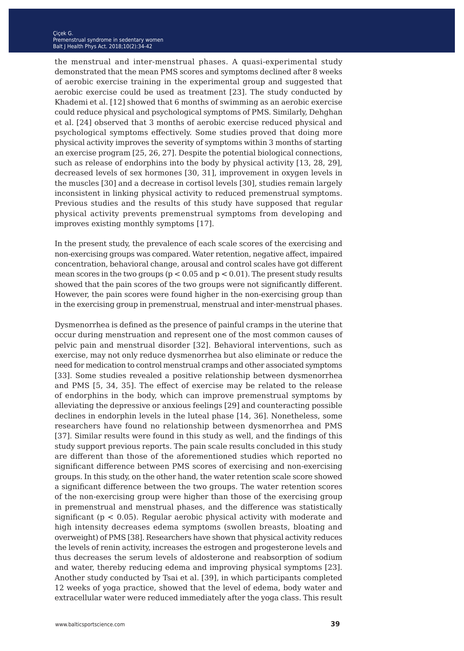the menstrual and inter-menstrual phases. A quasi-experimental study demonstrated that the mean PMS scores and symptoms declined after 8 weeks of aerobic exercise training in the experimental group and suggested that aerobic exercise could be used as treatment [23]. The study conducted by Khademi et al. [12] showed that 6 months of swimming as an aerobic exercise could reduce physical and psychological symptoms of PMS. Similarly, Dehghan et al. [24] observed that 3 months of aerobic exercise reduced physical and psychological symptoms effectively. Some studies proved that doing more physical activity improves the severity of symptoms within 3 months of starting an exercise program [25, 26, 27]. Despite the potential biological connections, such as release of endorphins into the body by physical activity [13, 28, 29], decreased levels of sex hormones [30, 31], improvement in oxygen levels in the muscles [30] and a decrease in cortisol levels [30], studies remain largely inconsistent in linking physical activity to reduced premenstrual symptoms. Previous studies and the results of this study have supposed that regular physical activity prevents premenstrual symptoms from developing and improves existing monthly symptoms [17].

In the present study, the prevalence of each scale scores of the exercising and non-exercising groups was compared. Water retention, negative affect, impaired concentration, behavioral change, arousal and control scales have got different mean scores in the two groups ( $p < 0.05$  and  $p < 0.01$ ). The present study results showed that the pain scores of the two groups were not significantly different. However, the pain scores were found higher in the non-exercising group than in the exercising group in premenstrual, menstrual and inter-menstrual phases.

Dysmenorrhea is defined as the presence of painful cramps in the uterine that occur during menstruation and represent one of the most common causes of pelvic pain and menstrual disorder [32]. Behavioral interventions, such as exercise, may not only reduce dysmenorrhea but also eliminate or reduce the need for medication to control menstrual cramps and other associated symptoms [33]. Some studies revealed a positive relationship between dysmenorrhea and PMS [5, 34, 35]. The effect of exercise may be related to the release of endorphins in the body, which can improve premenstrual symptoms by alleviating the depressive or anxious feelings [29] and counteracting possible declines in endorphin levels in the luteal phase [14, 36]. Nonetheless, some researchers have found no relationship between dysmenorrhea and PMS [37]. Similar results were found in this study as well, and the findings of this study support previous reports. The pain scale results concluded in this study are different than those of the aforementioned studies which reported no significant difference between PMS scores of exercising and non-exercising groups. In this study, on the other hand, the water retention scale score showed a significant difference between the two groups. The water retention scores of the non-exercising group were higher than those of the exercising group in premenstrual and menstrual phases, and the difference was statistically significant ( $p < 0.05$ ). Regular aerobic physical activity with moderate and high intensity decreases edema symptoms (swollen breasts, bloating and overweight) of PMS [38]. Researchers have shown that physical activity reduces the levels of renin activity, increases the estrogen and progesterone levels and thus decreases the serum levels of aldosterone and reabsorption of sodium and water, thereby reducing edema and improving physical symptoms [23]. Another study conducted by Tsai et al. [39], in which participants completed 12 weeks of yoga practice, showed that the level of edema, body water and extracellular water were reduced immediately after the yoga class. This result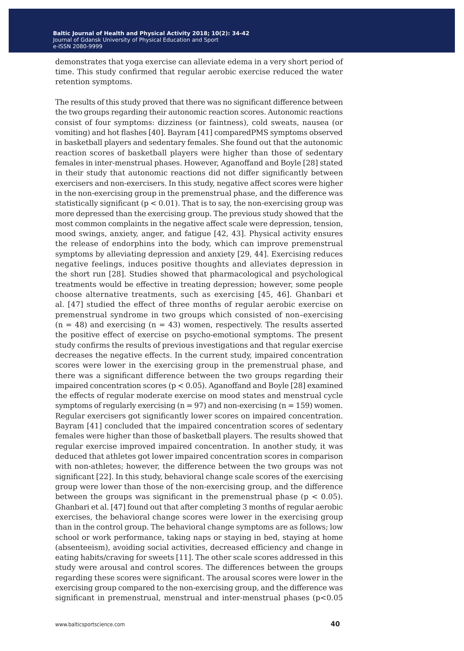demonstrates that yoga exercise can alleviate edema in a very short period of time. This study confirmed that regular aerobic exercise reduced the water retention symptoms.

The results of this study proved that there was no significant difference between the two groups regarding their autonomic reaction scores. Autonomic reactions consist of four symptoms: dizziness (or faintness), cold sweats, nausea (or vomiting) and hot flashes [40]. Bayram [41] comparedPMS symptoms observed in basketball players and sedentary females. She found out that the autonomic reaction scores of basketball players were higher than those of sedentary females in inter-menstrual phases. However, Aganoffand and Boyle [28] stated in their study that autonomic reactions did not differ significantly between exercisers and non-exercisers. In this study, negative affect scores were higher in the non-exercising group in the premenstrual phase, and the difference was statistically significant  $(p < 0.01)$ . That is to say, the non-exercising group was more depressed than the exercising group. The previous study showed that the most common complaints in the negative affect scale were depression, tension, mood swings, anxiety, anger, and fatigue [42, 43]. Physical activity ensures the release of endorphins into the body, which can improve premenstrual symptoms by alleviating depression and anxiety [29, 44]. Exercising reduces negative feelings, induces positive thoughts and alleviates depression in the short run [28]. Studies showed that pharmacological and psychological treatments would be effective in treating depression; however, some people choose alternative treatments, such as exercising [45, 46]. Ghanbari et al. [47] studied the effect of three months of regular aerobic exercise on premenstrual syndrome in two groups which consisted of non–exercising  $(n = 48)$  and exercising  $(n = 43)$  women, respectively. The results asserted the positive effect of exercise on psycho-emotional symptoms. The present study confirms the results of previous investigations and that regular exercise decreases the negative effects. In the current study, impaired concentration scores were lower in the exercising group in the premenstrual phase, and there was a significant difference between the two groups regarding their impaired concentration scores (p < 0.05). Aganoffand and Boyle [28] examined the effects of regular moderate exercise on mood states and menstrual cycle symptoms of regularly exercising  $(n = 97)$  and non-exercising  $(n = 159)$  women. Regular exercisers got significantly lower scores on impaired concentration. Bayram [41] concluded that the impaired concentration scores of sedentary females were higher than those of basketball players. The results showed that regular exercise improved impaired concentration. In another study, it was deduced that athletes got lower impaired concentration scores in comparison with non-athletes; however, the difference between the two groups was not significant [22]. In this study, behavioral change scale scores of the exercising group were lower than those of the non-exercising group, and the difference between the groups was significant in the premenstrual phase  $(p < 0.05)$ . Ghanbari et al. [47] found out that after completing 3 months of regular aerobic exercises, the behavioral change scores were lower in the exercising group than in the control group. The behavioral change symptoms are as follows; low school or work performance, taking naps or staying in bed, staying at home (absenteeism), avoiding social activities, decreased efficiency and change in eating habits/craving for sweets [11]. The other scale scores addressed in this study were arousal and control scores. The differences between the groups regarding these scores were significant. The arousal scores were lower in the exercising group compared to the non-exercising group, and the difference was significant in premenstrual, menstrual and inter-menstrual phases (p<0.05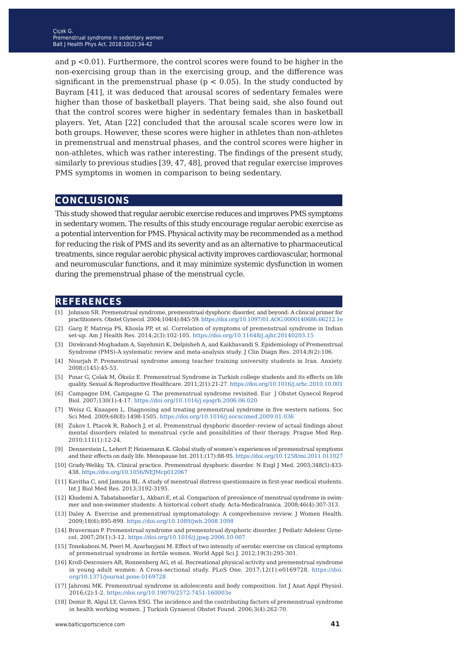and p <0.01). Furthermore, the control scores were found to be higher in the non-exercising group than in the exercising group, and the difference was significant in the premenstrual phase ( $p < 0.05$ ). In the study conducted by Bayram [41], it was deduced that arousal scores of sedentary females were higher than those of basketball players. That being said, she also found out that the control scores were higher in sedentary females than in basketball players. Yet, Atan [22] concluded that the arousal scale scores were low in both groups. However, these scores were higher in athletes than non-athletes in premenstrual and menstrual phases, and the control scores were higher in non-athletes, which was rather interesting. The findings of the present study, similarly to previous studies [39, 47, 48], proved that regular exercise improves PMS symptoms in women in comparison to being sedentary.

#### **conclusions**

This study showed that regular aerobic exercise reduces and improves PMS symptoms in sedentary women. The results of this study encourage regular aerobic exercise as a potential intervention for PMS. Physical activity may be recommended as a method for reducing the risk of PMS and its severity and as an alternative to pharmaceutical treatments, since regular aerobic physical activity improves cardiovascular, hormonal and neuromuscular functions, and it may minimize systemic dysfunction in women during the premenstrual phase of the menstrual cycle.

#### **references**

- [1] Johnson SR. Premenstrual syndrome, premenstrual dysphoric disorder, and beyond: A clinical primer for practitioners. Obstet Gynecol. 2004;104(4):845-59. [https://doi.org/10.1097/01.AOG.0000140686.66212.1e](https://doi.org/10.11648/j.ajhr.20140203.15)
- [2] Garg P, Matreja PS, Khosla PP, et al. Correlation of symptoms of premenstrual syndrome in Indian set-up. Am J Health Res. 2014;2(3):102-105.<https://doi.org/10.11648/j.ajhr.20140203.15>
- [3] Direkvand-Moghadam A, Sayehmiri K, Delpisheh A, and Kaikhavandi S. Epidemiology of Premenstrual Syndrome (PMS)-A systematic review and meta-analysis study. J Clin Diagn Res. 2014;8(2):106.
- [4] Nourjah P. Premenstrual syndrome among teacher training university students in Iran. Anxiety. 2008;(145):45-53.
- [5] Pınar G, Çolak M, Öksüz E. Premenstrual Syndrome in Turkish college students and its effects on life quality. Sexual & Reproductive Healthcare. 2011;2(1):21-27.<https://doi.org/10.1016/j.srhc.2010.10.001>
- [6] Campagne DM, Campagne G. The premenstrual syndrome revisited. Eur J Obstet Gynecol Reprod Biol. 2007;130(1):4-17.<https://doi.org/10.1016/j.ejogrb.2006.06.020>
- [7] Weisz G, Knaapen L. Diagnosing and treating premenstrual syndrome in five western nations. Soc Sci Med. 2009;68(8):1498-1505.<https://doi.org/10.1016/j.socscimed.2009.01.036>
- [8] Zukov I, Ptacek R, Raboch J, et al. Premenstrual dysphoric disorder–review of actual findings about mental disorders related to menstrual cycle and possibilities of their therapy. Prague Med Rep. 2010;111(1):12-24.
- [9] Dennerstein L, Lehert P, Heinemann K. Global study of women's experiences of premenstrual symptoms and their effects on daily life. Menopause Int. 2011;(17):88-95. <https://doi.org/10.1258/mi.2011.011027>
- [10] Grady-Weliky, TA. Clinical practice. Premenstrual dysphoric disorder. N Engl J Med. 2003;348(5):433- 438.<https://doi.org/10.1056/NEJMcp012067>
- [11] Kavitha C, and Jamuna BL. A study of menstrual distress questionnaire in first-year medical students. Int J Biol Med Res. 2013;3192-3195.
- [12] Khademi A, Tabatabaeefar L, Akbari E, et al. Comparison of prevalence of menstrual syndrome in swimmer and non-swimmer students: A historical cohort study. Acta-MedicaIranica. 2008;46(4):307-313.
- [13] Daley A. Exercise and premenstrual symptomatology: A comprehensive review. J Women Health. 2009;18(6):895-899. <https://doi.org/10.1089/jwh.2008.1098>
- [14] Braverman P. Premenstrual syndrome and premenstrual dysphoric disorder. J Pediatr Adolesc Gynecol. 2007;20(1):3-12.<https://doi.org/10.1016/j.jpag.2006.10.007>
- [15] Tonekaboni M, Peeri M, Azarbayjani M. Effect of two intensity of aerobic exercise on clinical symptoms of premenstrual syndrome in fertile women. World Appl Sci J. 2012;19(3):295-301.
- [16] Kroll-Desrosiers AR, Ronnenberg AG, et al. Recreational physical activity and premenstrual syndrome in young adult women: A Cross-sectional study. PLoS One. 2017;12(1):e0169728. [https://doi.](https://doi.org/10.1371/journal.pone.0169728) [org/10.1371/journal.pone.0169728](https://doi.org/10.1371/journal.pone.0169728)
- [17] Jahromi MK. Premenstrual syndrome in adolescents and body composition. Int J Anat Appl Physiol. 2016;(2):1-2.<https://doi.org/10.19070/2572-7451-160003e>
- [18] Demir B, Algul LY, Guven ESG. The incidence and the contributing factors of premenstrual syndrome in health working women. J Turkish Gynaecol Obstet Found. 2006;3(4):262-70.